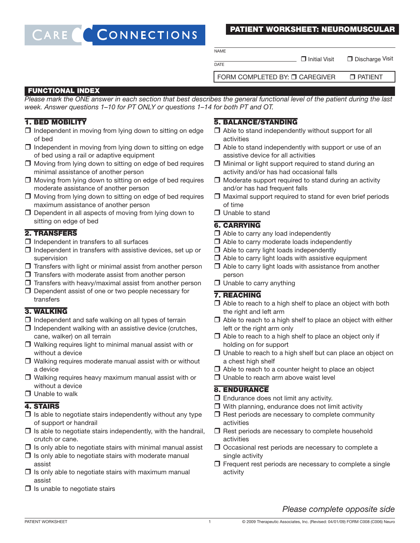### CONNECTIONS CARE

### PATIENT WORKSHEET: NEUROMUSCULAR

**NAME** 

 $\overline{DATE}$ 

 $\Box$  Initial Visit  $\Box$  Discharge Visit

FORM COMPLETED BY: **O CAREGIVER PATIENT** 

### FUNCTIONAL INDEX

Please mark the ONE answer in each section that best describes the general functional level of the patient during the last week. Answer questions 1–10 for PT ONLY or questions 1–14 for both PT and OT.

# 1. BED MOBILITY

- $\Box$  Independent in moving from lying down to sitting on edge of bed
- $\Box$  Independent in moving from lying down to sitting on edge of bed using a rail or adaptive equipment
- $\Box$  Moving from lying down to sitting on edge of bed requires minimal assistance of another person
- $\Box$  Moving from lying down to sitting on edge of bed requires moderate assistance of another person
- $\Box$  Moving from lying down to sitting on edge of bed requires maximum assistance of another person
- $\Box$  Dependent in all aspects of moving from lying down to sitting on edge of bed

### 2. TRANSFERS

- $\Box$  Independent in transfers to all surfaces
- $\Box$  Independent in transfers with assistive devices, set up or supervision
- $\Box$  Transfers with light or minimal assist from another person
- $\Box$  Transfers with moderate assist from another person
- $\Box$  Transfers with heavy/maximal assist from another person
- $\Box$  Dependent assist of one or two people necessary for transfers

### 3. WALKING

- $\Box$  Independent and safe walking on all types of terrain
- $\Box$  Independent walking with an assistive device (crutches, cane, walker) on all terrain
- $\Box$  Walking requires light to minimal manual assist with or without a device
- $\Box$  Walking requires moderate manual assist with or without a device
- $\Box$  Walking requires heavy maximum manual assist with or without a device
- $\Box$  Unable to walk

#### 4. STAIRS

- $\Box$  Is able to negotiate stairs independently without any type of support or handrail
- $\Box$  Is able to negotiate stairs independently, with the handrail, crutch or cane.
- $\Box$  Is only able to negotiate stairs with minimal manual assist
- $\Box$  Is only able to negotiate stairs with moderate manual assist
- $\Box$  Is only able to negotiate stairs with maximum manual assist
- $\Box$  Is unable to negotiate stairs

# 5. BALANCE/STANDING

- $\Box$  Able to stand independently without support for all activities
- $\Box$  Able to stand independently with support or use of an assistive device for all activities
- $\Box$  Minimal or light support required to stand during an activity and/or has had occasional falls
- $\Box$  Moderate support required to stand during an activity and/or has had frequent falls
- $\Box$  Maximal support required to stand for even brief periods of time
- **Unable to stand**

# 6. CARRYING

- $\Box$  Able to carry any load independently
- $\Box$  Able to carry moderate loads independently
- $\Box$  Able to carry light loads independently
- $\Box$  Able to carry light loads with assistive equipment
- $\Box$  Able to carry light loads with assistance from another person
- $\Box$  Unable to carry anything

### 7. REACHING

- $\Box$  Able to reach to a high shelf to place an object with both the right and left arm
- $\Box$  Able to reach to a high shelf to place an object with either left or the right arm only
- $\Box$  Able to reach to a high shelf to place an object only if holding on for support
- $\Box$  Unable to reach to a high shelf but can place an object on a chest high shelf
- $\Box$  Able to reach to a counter height to place an object
- $\Box$  Unable to reach arm above waist level

### 8. ENDURANCE

- $\Box$  Endurance does not limit any activity.
- $\Box$  With planning, endurance does not limit activity
- $\Box$  Rest periods are necessary to complete community activities
- $\Box$  Rest periods are necessary to complete household activities
- $\Box$  Occasional rest periods are necessary to complete a single activity
- $\Box$  Frequent rest periods are necessary to complete a single activity

# Please complete opposite side